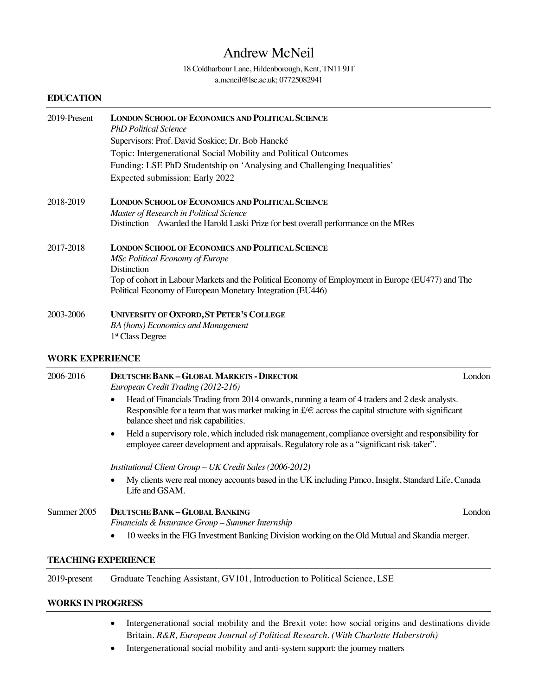# Andrew McNeil

### 18 Coldharbour Lane, Hildenborough, Kent, TN11 9JT a.mcneil@lse.ac.uk; 07725082941

## **EDUCATION**

| 2019-Present | <b>LONDON SCHOOL OF ECONOMICS AND POLITICAL SCIENCE</b><br><b>PhD Political Science</b><br>Supervisors: Prof. David Soskice; Dr. Bob Hancké<br>Topic: Intergenerational Social Mobility and Political Outcomes<br>Funding: LSE PhD Studentship on 'Analysing and Challenging Inequalities'<br>Expected submission: Early 2022 |
|--------------|-------------------------------------------------------------------------------------------------------------------------------------------------------------------------------------------------------------------------------------------------------------------------------------------------------------------------------|
| 2018-2019    | <b>LONDON SCHOOL OF ECONOMICS AND POLITICAL SCIENCE</b><br>Master of Research in Political Science<br>Distinction – Awarded the Harold Laski Prize for best overall performance on the MRes                                                                                                                                   |
| 2017-2018    | <b>LONDON SCHOOL OF ECONOMICS AND POLITICAL SCIENCE</b><br><b>MSc Political Economy of Europe</b><br><b>Distinction</b><br>Top of cohort in Labour Markets and the Political Economy of Employment in Europe (EU477) and The<br>Political Economy of European Monetary Integration (EU446)                                    |
| 2003-2006    | <b>UNIVERSITY OF OXFORD, ST PETER'S COLLEGE</b><br><b>BA</b> (hons) Economics and Management<br>1 <sup>st</sup> Class Degree                                                                                                                                                                                                  |

#### **WORK EXPERIENCE**

| 2006-2016                  | <b>DEUTSCHE BANK - GLOBAL MARKETS - DIRECTOR</b><br>European Credit Trading (2012-216)                                                                                                                                                                                   | London |
|----------------------------|--------------------------------------------------------------------------------------------------------------------------------------------------------------------------------------------------------------------------------------------------------------------------|--------|
|                            | Head of Financials Trading from 2014 onwards, running a team of 4 traders and 2 desk analysts.<br>$\bullet$<br>Responsible for a team that was market making in $f \in \mathbb{R}$ across the capital structure with significant<br>balance sheet and risk capabilities. |        |
|                            | Held a supervisory role, which included risk management, compliance oversight and responsibility for<br>$\bullet$<br>employee career development and appraisals. Regulatory role as a "significant risk-taker".                                                          |        |
|                            | Institutional Client Group - UK Credit Sales (2006-2012)                                                                                                                                                                                                                 |        |
|                            | My clients were real money accounts based in the UK including Pimco, Insight, Standard Life, Canada<br>$\bullet$<br>Life and GSAM.                                                                                                                                       |        |
| Summer 2005                | <b>DEUTSCHE BANK-GLOBAL BANKING</b><br>Financials & Insurance Group – Summer Internship                                                                                                                                                                                  | London |
|                            | 10 weeks in the FIG Investment Banking Division working on the Old Mutual and Skandia merger.<br>$\bullet$                                                                                                                                                               |        |
| <b>TEACHING EXPERIENCE</b> |                                                                                                                                                                                                                                                                          |        |
| 2019-present               | Graduate Teaching Assistant, GV101, Introduction to Political Science, LSE                                                                                                                                                                                               |        |

### **WORKS IN PROGRESS**

- Intergenerational social mobility and the Brexit vote: how social origins and destinations divide Britain. *R&R, European Journal of Political Research. (With Charlotte Haberstroh)*
- Intergenerational social mobility and anti-system support: the journey matters